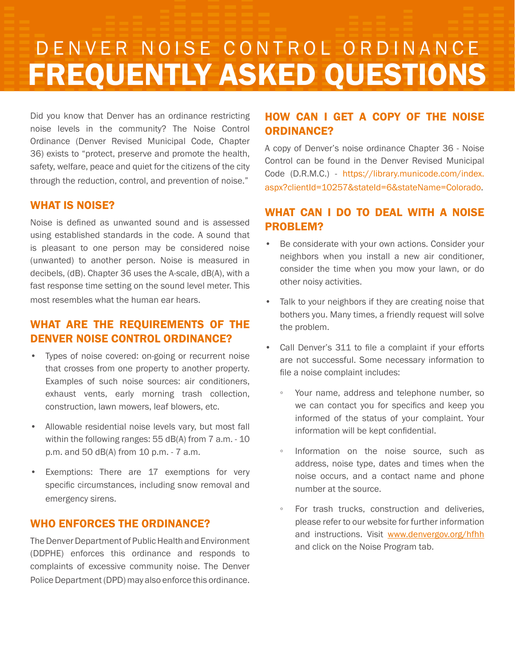# DENVER NOISE CONTROL ORDINANCE FREQUENTLY ASKED QUESTIONS

Did you know that Denver has an ordinance restricting noise levels in the community? The Noise Control Ordinance (Denver Revised Municipal Code, Chapter 36) exists to "protect, preserve and promote the health, safety, welfare, peace and quiet for the citizens of the city through the reduction, control, and prevention of noise."

#### WHAT IS NOISE?

Noise is defined as unwanted sound and is assessed using established standards in the code. A sound that is pleasant to one person may be considered noise (unwanted) to another person. Noise is measured in decibels, (dB). Chapter 36 uses the A-scale, dB(A), with a fast response time setting on the sound level meter. This most resembles what the human ear hears.

## WHAT ARE THE REQUIREMENTS OF THE DENVER NOISE CONTROL ORDINANCE?

- Types of noise covered: on-going or recurrent noise that crosses from one property to another property. Examples of such noise sources: air conditioners, exhaust vents, early morning trash collection, construction, lawn mowers, leaf blowers, etc.
- Allowable residential noise levels vary, but most fall within the following ranges: 55 dB(A) from 7 a.m. - 10 p.m. and 50 dB(A) from 10 p.m. - 7 a.m.
- Exemptions: There are 17 exemptions for very specific circumstances, including snow removal and emergency sirens.

#### WHO ENFORCES THE ORDINANCE?

The Denver Department of Public Health and Environment (DDPHE) enforces this ordinance and responds to complaints of excessive community noise. The Denver Police Department (DPD) may also enforce this ordinance.

# HOW CAN I GET A COPY OF THE NOISE ORDINANCE?

A copy of Denver's noise ordinance Chapter 36 - Noise Control can be found in the Denver Revised Municipal Code (D.R.M.C.) - https://library.municode.com/index. aspx?clientId=10257&stateId=6&stateName=Colorado.

# WHAT CAN I DO TO DEAL WITH A NOISE PROBLEM?

- Be considerate with your own actions. Consider your neighbors when you install a new air conditioner, consider the time when you mow your lawn, or do other noisy activities.
- Talk to your neighbors if they are creating noise that bothers you. Many times, a friendly request will solve the problem.
- Call Denver's 311 to file a complaint if your efforts are not successful. Some necessary information to file a noise complaint includes:
	- Your name, address and telephone number, so we can contact you for specifics and keep you informed of the status of your complaint. Your information will be kept confidential.
	- Information on the noise source, such as address, noise type, dates and times when the noise occurs, and a contact name and phone number at the source.
	- For trash trucks, construction and deliveries, please refer to our website for further information and instructions. Visit www.denvergov.org/hfhh and click on the Noise Program tab.